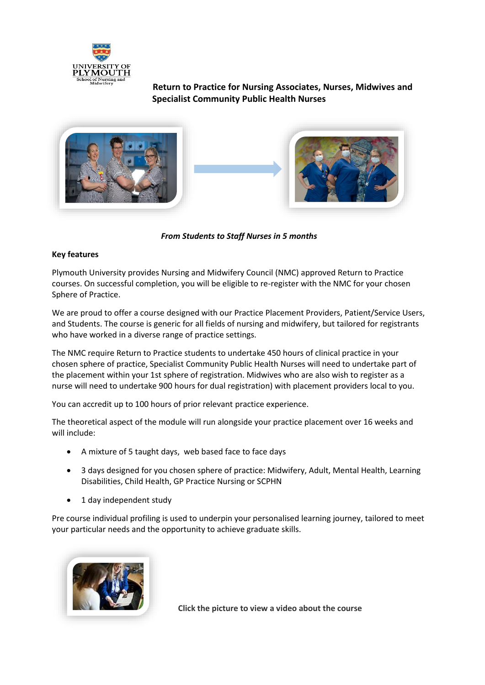

 **Return to Practice for Nursing Associates, Nurses, Midwives and Specialist Community Public Health Nurses**





*From Students to Staff Nurses in 5 months*

# **Key features**

Plymouth University provides Nursing and Midwifery Council (NMC) approved Return to Practice courses. On successful completion, you will be eligible to re-register with the NMC for your chosen Sphere of Practice.

We are proud to offer a course designed with our Practice Placement Providers, Patient/Service Users, and Students. The course is generic for all fields of nursing and midwifery, but tailored for registrants who have worked in a diverse range of practice settings.

The NMC require Return to Practice students to undertake 450 hours of clinical practice in your chosen sphere of practice, Specialist Community Public Health Nurses will need to undertake part of the placement within your 1st sphere of registration. Midwives who are also wish to register as a nurse will need to undertake 900 hours for dual registration) with placement providers local to you.

You can accredit up to 100 hours of prior relevant practice experience.

The theoretical aspect of the module will run alongside your practice placement over 16 weeks and will include:

- A mixture of 5 taught days, web based face to face days
- 3 days designed for you chosen sphere of practice: Midwifery, Adult, Mental Health, Learning Disabilities, Child Health, GP Practice Nursing or SCPHN
- 1 day independent study

Pre course individual profiling is used to underpin your personalised learning journey, tailored to meet your particular needs and the opportunity to achieve graduate skills.



**Click the picture to view a video about the course**